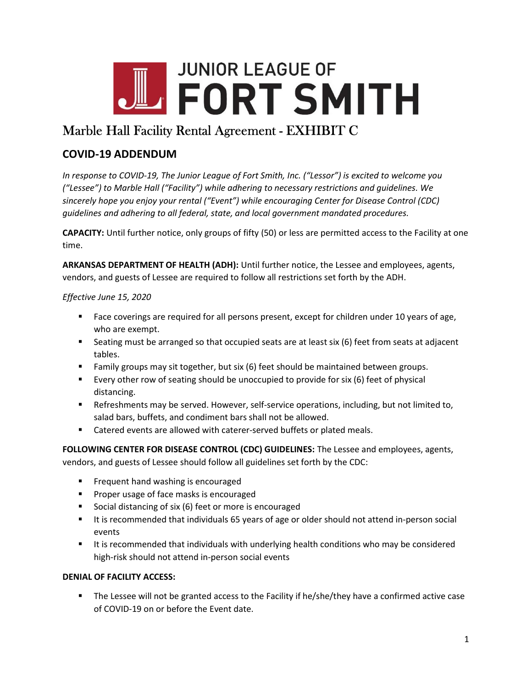

# Marble Hall Facility Rental Agreement - EXHIBIT C

## COVID-19 ADDENDUM

In response to COVID-19, The Junior League of Fort Smith, Inc. ("Lessor") is excited to welcome you ("Lessee") to Marble Hall ("Facility") while adhering to necessary restrictions and guidelines. We sincerely hope you enjoy your rental ("Event") while encouraging Center for Disease Control (CDC) guidelines and adhering to all federal, state, and local government mandated procedures.

CAPACITY: Until further notice, only groups of fifty (50) or less are permitted access to the Facility at one time.

ARKANSAS DEPARTMENT OF HEALTH (ADH): Until further notice, the Lessee and employees, agents, vendors, and guests of Lessee are required to follow all restrictions set forth by the ADH.

### Effective June 15, 2020

- Face coverings are required for all persons present, except for children under 10 years of age, who are exempt.
- Seating must be arranged so that occupied seats are at least six (6) feet from seats at adjacent tables.
- Family groups may sit together, but six (6) feet should be maintained between groups.
- Every other row of seating should be unoccupied to provide for six (6) feet of physical distancing.
- **EXECT:** Refreshments may be served. However, self-service operations, including, but not limited to, salad bars, buffets, and condiment bars shall not be allowed.
- **EXEC** Catered events are allowed with caterer-served buffets or plated meals.

FOLLOWING CENTER FOR DISEASE CONTROL (CDC) GUIDELINES: The Lessee and employees, agents, vendors, and guests of Lessee should follow all guidelines set forth by the CDC:

- **Filter** Frequent hand washing is encouraged
- **Proper usage of face masks is encouraged**
- Social distancing of six (6) feet or more is encouraged
- It is recommended that individuals 65 years of age or older should not attend in-person social events
- It is recommended that individuals with underlying health conditions who may be considered high-risk should not attend in-person social events

#### DENIAL OF FACILITY ACCESS:

The Lessee will not be granted access to the Facility if he/she/they have a confirmed active case of COVID-19 on or before the Event date.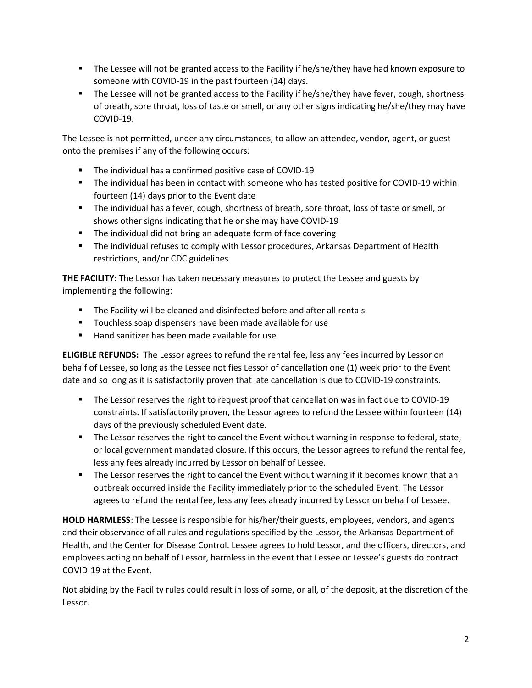- The Lessee will not be granted access to the Facility if he/she/they have had known exposure to someone with COVID-19 in the past fourteen (14) days.
- The Lessee will not be granted access to the Facility if he/she/they have fever, cough, shortness of breath, sore throat, loss of taste or smell, or any other signs indicating he/she/they may have COVID-19.

The Lessee is not permitted, under any circumstances, to allow an attendee, vendor, agent, or guest onto the premises if any of the following occurs:

- **The individual has a confirmed positive case of COVID-19**
- The individual has been in contact with someone who has tested positive for COVID-19 within fourteen (14) days prior to the Event date
- The individual has a fever, cough, shortness of breath, sore throat, loss of taste or smell, or shows other signs indicating that he or she may have COVID-19
- **The individual did not bring an adequate form of face covering**
- The individual refuses to comply with Lessor procedures, Arkansas Department of Health restrictions, and/or CDC guidelines

THE FACILITY: The Lessor has taken necessary measures to protect the Lessee and guests by implementing the following:

- The Facility will be cleaned and disinfected before and after all rentals
- **Touchless soap dispensers have been made available for use**
- Hand sanitizer has been made available for use

ELIGIBLE REFUNDS: The Lessor agrees to refund the rental fee, less any fees incurred by Lessor on behalf of Lessee, so long as the Lessee notifies Lessor of cancellation one (1) week prior to the Event date and so long as it is satisfactorily proven that late cancellation is due to COVID-19 constraints.

- The Lessor reserves the right to request proof that cancellation was in fact due to COVID-19 constraints. If satisfactorily proven, the Lessor agrees to refund the Lessee within fourteen (14) days of the previously scheduled Event date.
- The Lessor reserves the right to cancel the Event without warning in response to federal, state, or local government mandated closure. If this occurs, the Lessor agrees to refund the rental fee, less any fees already incurred by Lessor on behalf of Lessee.
- **The Lessor reserves the right to cancel the Event without warning if it becomes known that an** outbreak occurred inside the Facility immediately prior to the scheduled Event. The Lessor agrees to refund the rental fee, less any fees already incurred by Lessor on behalf of Lessee.

HOLD HARMLESS: The Lessee is responsible for his/her/their guests, employees, vendors, and agents and their observance of all rules and regulations specified by the Lessor, the Arkansas Department of Health, and the Center for Disease Control. Lessee agrees to hold Lessor, and the officers, directors, and employees acting on behalf of Lessor, harmless in the event that Lessee or Lessee's guests do contract COVID-19 at the Event.

Not abiding by the Facility rules could result in loss of some, or all, of the deposit, at the discretion of the Lessor.